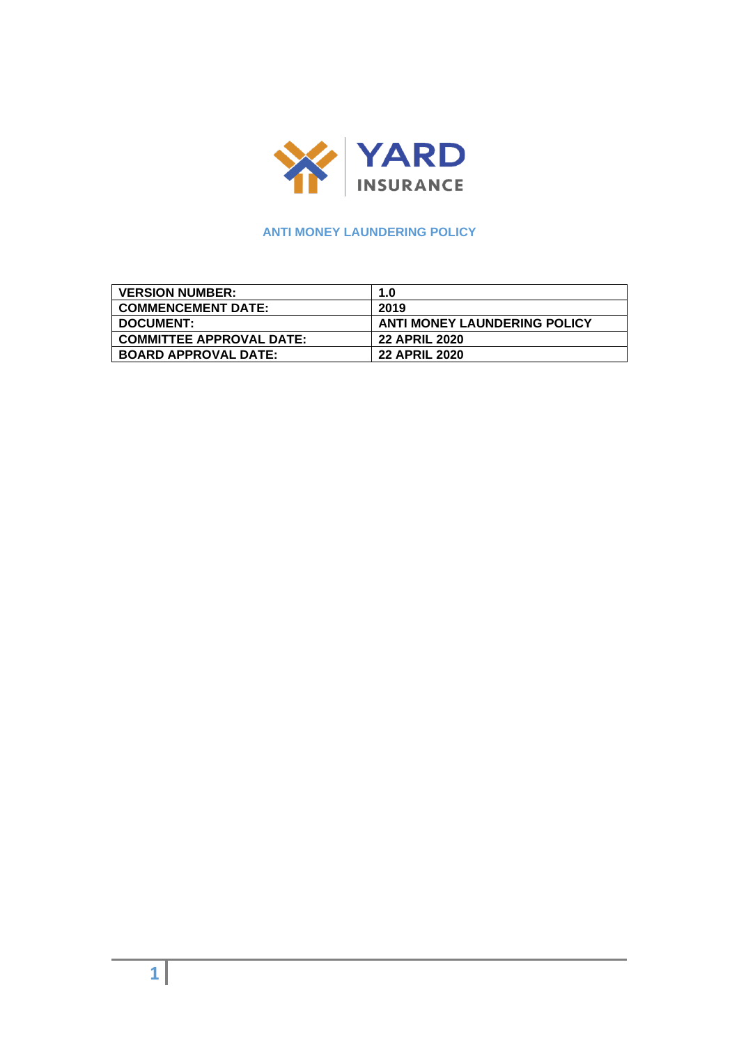

# **ANTI MONEY LAUNDERING POLICY**

| <b>VERSION NUMBER:</b>          | 1.0                                 |
|---------------------------------|-------------------------------------|
| <b>COMMENCEMENT DATE:</b>       | 2019                                |
| <b>DOCUMENT:</b>                | <b>ANTI MONEY LAUNDERING POLICY</b> |
| <b>COMMITTEE APPROVAL DATE:</b> | <b>22 APRIL 2020</b>                |
| <b>BOARD APPROVAL DATE:</b>     | <b>22 APRIL 2020</b>                |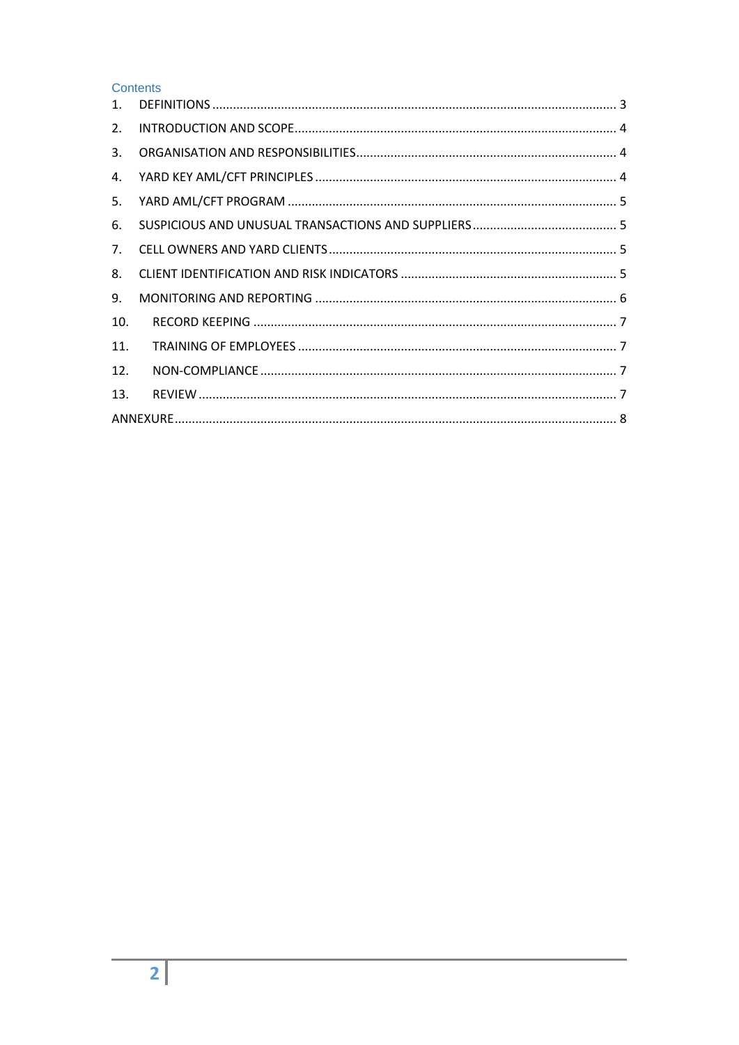## Contents

| 2.  |  |
|-----|--|
| 3.  |  |
| 4.  |  |
| 5.  |  |
| 6.  |  |
| 7.  |  |
| 8.  |  |
| 9.  |  |
| 10. |  |
| 11. |  |
| 12. |  |
| 13. |  |
|     |  |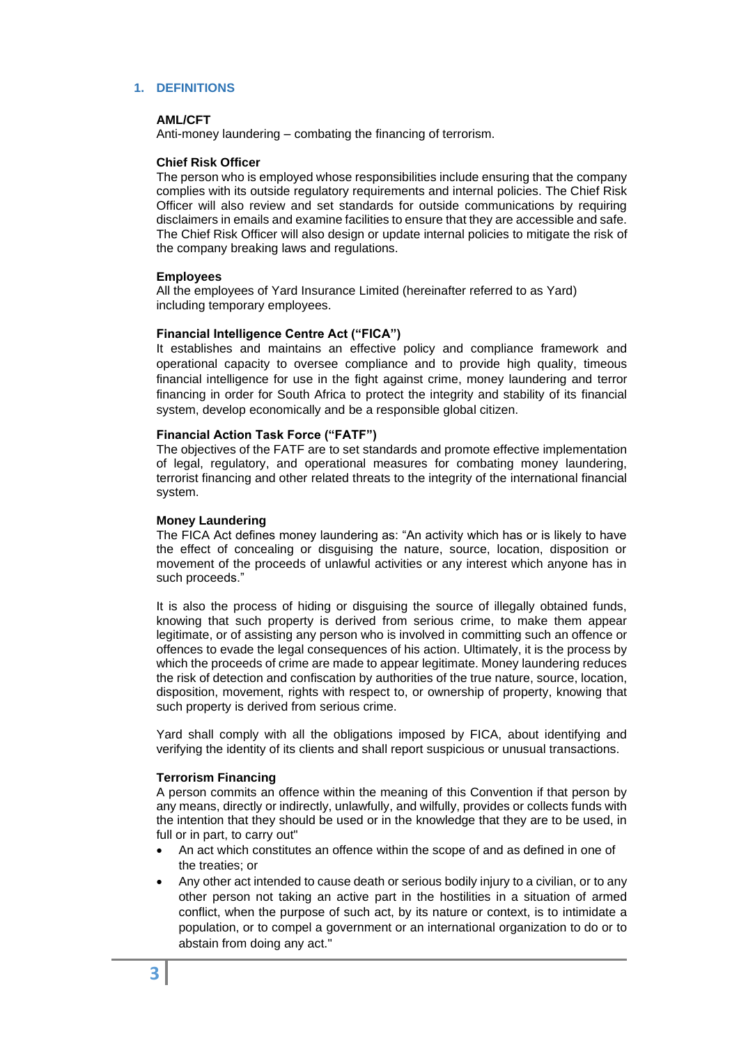## <span id="page-2-0"></span>**1. DEFINITIONS**

### **AML/CFT**

Anti-money laundering – combating the financing of terrorism.

### **Chief Risk Officer**

The person who is employed whose responsibilities include ensuring that the company complies with its outside regulatory requirements and internal policies. The Chief Risk Officer will also review and set standards for outside communications by requiring disclaimers in emails and examine facilities to ensure that they are accessible and safe. The Chief Risk Officer will also design or update internal policies to mitigate the risk of the company breaking laws and regulations.

### **Employees**

All the employees of Yard Insurance Limited (hereinafter referred to as Yard) including temporary employees.

### **Financial Intelligence Centre Act ("FICA")**

It establishes and maintains an effective policy and compliance framework and operational capacity to oversee compliance and to provide high quality, timeous financial intelligence for use in the fight against crime, money laundering and terror financing in order for South Africa to protect the integrity and stability of its financial system, develop economically and be a responsible global citizen.

### **Financial Action Task Force ("FATF")**

The objectives of the FATF are to set standards and promote effective implementation of legal, regulatory, and operational measures for combating money laundering, terrorist financing and other related threats to the integrity of the international financial system.

### **Money Laundering**

The FICA Act defines money laundering as: "An activity which has or is likely to have the effect of concealing or disguising the nature, source, location, disposition or movement of the proceeds of unlawful activities or any interest which anyone has in such proceeds."

It is also the process of hiding or disguising the source of illegally obtained funds, knowing that such property is derived from serious crime, to make them appear legitimate, or of assisting any person who is involved in committing such an offence or offences to evade the legal consequences of his action. Ultimately, it is the process by which the proceeds of crime are made to appear legitimate. Money laundering reduces the risk of detection and confiscation by authorities of the true nature, source, location, disposition, movement, rights with respect to, or ownership of property, knowing that such property is derived from serious crime.

Yard shall comply with all the obligations imposed by FICA, about identifying and verifying the identity of its clients and shall report suspicious or unusual transactions.

### **Terrorism Financing**

A person commits an offence within the meaning of this Convention if that person by any means, directly or indirectly, unlawfully, and wilfully, provides or collects funds with the intention that they should be used or in the knowledge that they are to be used, in full or in part, to carry out"

- An act which constitutes an offence within the scope of and as defined in one of the treaties; or
- Any other act intended to cause death or serious bodily injury to a civilian, or to any other person not taking an active part in the hostilities in a situation of armed conflict, when the purpose of such act, by its nature or context, is to intimidate a population, or to compel a government or an international organization to do or to abstain from doing any act."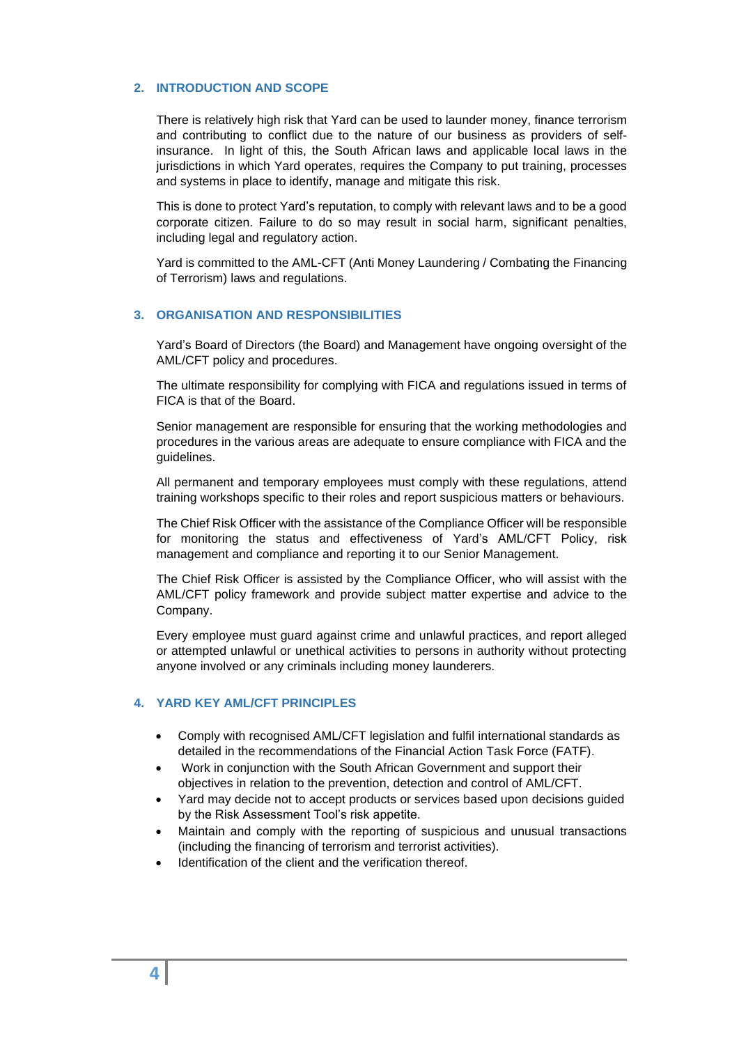## <span id="page-3-0"></span>**2. INTRODUCTION AND SCOPE**

There is relatively high risk that Yard can be used to launder money, finance terrorism and contributing to conflict due to the nature of our business as providers of selfinsurance. In light of this, the South African laws and applicable local laws in the jurisdictions in which Yard operates, requires the Company to put training, processes and systems in place to identify, manage and mitigate this risk.

This is done to protect Yard's reputation, to comply with relevant laws and to be a good corporate citizen. Failure to do so may result in social harm, significant penalties, including legal and regulatory action.

Yard is committed to the AML-CFT (Anti Money Laundering / Combating the Financing of Terrorism) laws and regulations.

#### <span id="page-3-1"></span>**3. ORGANISATION AND RESPONSIBILITIES**

Yard's Board of Directors (the Board) and Management have ongoing oversight of the AML/CFT policy and procedures.

The ultimate responsibility for complying with FICA and regulations issued in terms of FICA is that of the Board.

Senior management are responsible for ensuring that the working methodologies and procedures in the various areas are adequate to ensure compliance with FICA and the guidelines.

All permanent and temporary employees must comply with these regulations, attend training workshops specific to their roles and report suspicious matters or behaviours.

The Chief Risk Officer with the assistance of the Compliance Officer will be responsible for monitoring the status and effectiveness of Yard's AML/CFT Policy, risk management and compliance and reporting it to our Senior Management.

The Chief Risk Officer is assisted by the Compliance Officer, who will assist with the AML/CFT policy framework and provide subject matter expertise and advice to the Company.

Every employee must guard against crime and unlawful practices, and report alleged or attempted unlawful or unethical activities to persons in authority without protecting anyone involved or any criminals including money launderers.

## <span id="page-3-2"></span>**4. YARD KEY AML/CFT PRINCIPLES**

- Comply with recognised AML/CFT legislation and fulfil international standards as detailed in the recommendations of the Financial Action Task Force (FATF).
- Work in conjunction with the South African Government and support their objectives in relation to the prevention, detection and control of AML/CFT.
- Yard may decide not to accept products or services based upon decisions guided by the Risk Assessment Tool's risk appetite.
- Maintain and comply with the reporting of suspicious and unusual transactions (including the financing of terrorism and terrorist activities).
- Identification of the client and the verification thereof.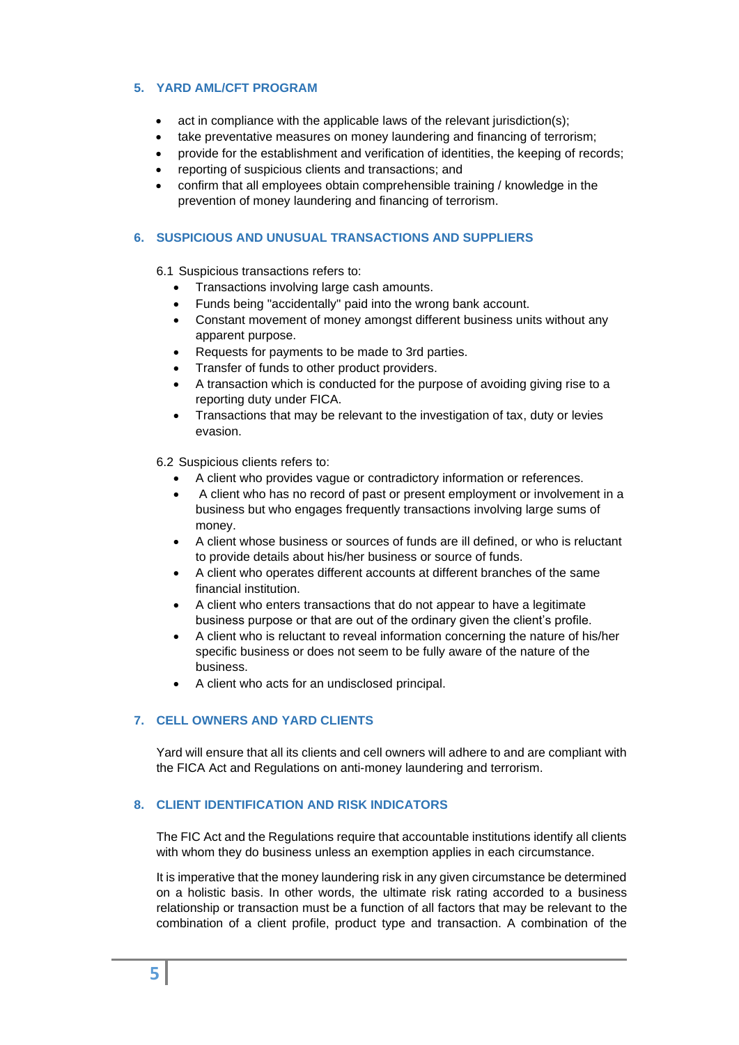## <span id="page-4-0"></span>**5. YARD AML/CFT PROGRAM**

- act in compliance with the applicable laws of the relevant jurisdiction(s):
- take preventative measures on money laundering and financing of terrorism;
- provide for the establishment and verification of identities, the keeping of records;
- reporting of suspicious clients and transactions; and
- confirm that all employees obtain comprehensible training / knowledge in the prevention of money laundering and financing of terrorism.

## <span id="page-4-1"></span>**6. SUSPICIOUS AND UNUSUAL TRANSACTIONS AND SUPPLIERS**

- 6.1 Suspicious transactions refers to:
	- Transactions involving large cash amounts.
	- Funds being "accidentally" paid into the wrong bank account.
	- Constant movement of money amongst different business units without any apparent purpose.
	- Requests for payments to be made to 3rd parties.
	- Transfer of funds to other product providers.
	- A transaction which is conducted for the purpose of avoiding giving rise to a reporting duty under FICA.
	- Transactions that may be relevant to the investigation of tax, duty or levies evasion.

6.2 Suspicious clients refers to:

- A client who provides vague or contradictory information or references.
- A client who has no record of past or present employment or involvement in a business but who engages frequently transactions involving large sums of money.
- A client whose business or sources of funds are ill defined, or who is reluctant to provide details about his/her business or source of funds.
- A client who operates different accounts at different branches of the same financial institution.
- A client who enters transactions that do not appear to have a legitimate business purpose or that are out of the ordinary given the client's profile.
- A client who is reluctant to reveal information concerning the nature of his/her specific business or does not seem to be fully aware of the nature of the business.
- A client who acts for an undisclosed principal.

## <span id="page-4-2"></span>**7. CELL OWNERS AND YARD CLIENTS**

Yard will ensure that all its clients and cell owners will adhere to and are compliant with the FICA Act and Regulations on anti-money laundering and terrorism.

### <span id="page-4-3"></span>**8. CLIENT IDENTIFICATION AND RISK INDICATORS**

The FIC Act and the Regulations require that accountable institutions identify all clients with whom they do business unless an exemption applies in each circumstance.

It is imperative that the money laundering risk in any given circumstance be determined on a holistic basis. In other words, the ultimate risk rating accorded to a business relationship or transaction must be a function of all factors that may be relevant to the combination of a client profile, product type and transaction. A combination of the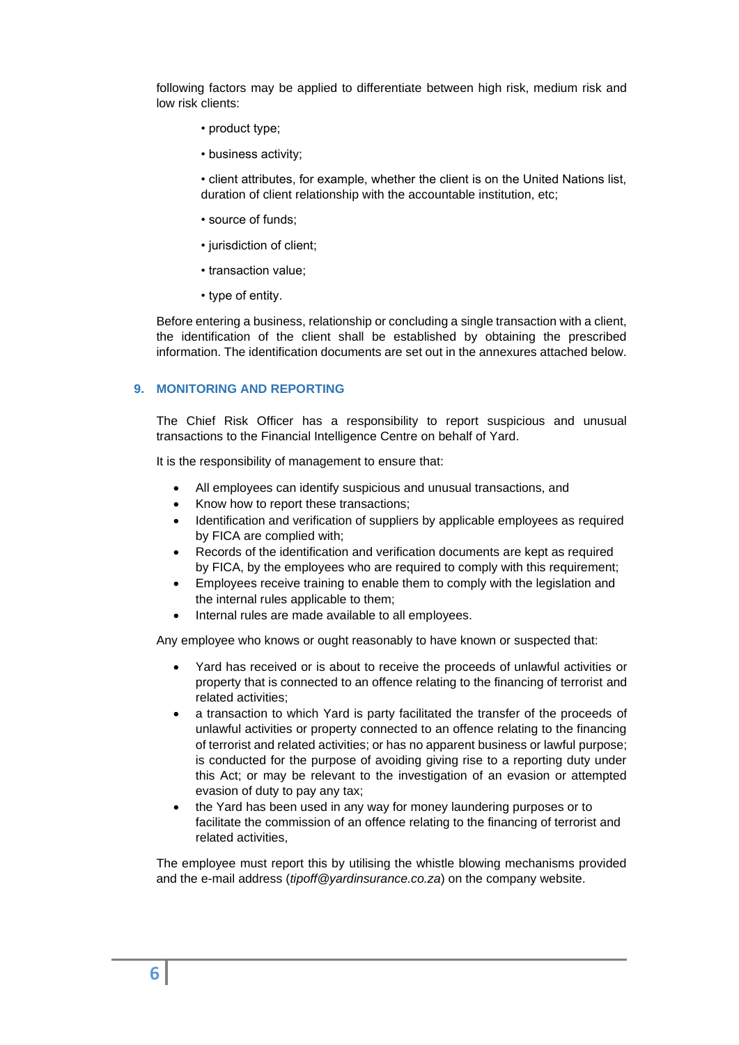following factors may be applied to differentiate between high risk, medium risk and low risk clients:

- product type;
- business activity;

• client attributes, for example, whether the client is on the United Nations list, duration of client relationship with the accountable institution, etc;

- source of funds;
- jurisdiction of client;
- transaction value;
- type of entity.

Before entering a business, relationship or concluding a single transaction with a client, the identification of the client shall be established by obtaining the prescribed information. The identification documents are set out in the annexures attached below.

## <span id="page-5-0"></span>**9. MONITORING AND REPORTING**

The Chief Risk Officer has a responsibility to report suspicious and unusual transactions to the Financial Intelligence Centre on behalf of Yard.

It is the responsibility of management to ensure that:

- All employees can identify suspicious and unusual transactions, and
- Know how to report these transactions;
- Identification and verification of suppliers by applicable employees as required by FICA are complied with;
- Records of the identification and verification documents are kept as required by FICA, by the employees who are required to comply with this requirement;
- Employees receive training to enable them to comply with the legislation and the internal rules applicable to them;
- Internal rules are made available to all employees.

Any employee who knows or ought reasonably to have known or suspected that:

- Yard has received or is about to receive the proceeds of unlawful activities or property that is connected to an offence relating to the financing of terrorist and related activities;
- a transaction to which Yard is party facilitated the transfer of the proceeds of unlawful activities or property connected to an offence relating to the financing of terrorist and related activities; or has no apparent business or lawful purpose; is conducted for the purpose of avoiding giving rise to a reporting duty under this Act; or may be relevant to the investigation of an evasion or attempted evasion of duty to pay any tax;
- the Yard has been used in any way for money laundering purposes or to facilitate the commission of an offence relating to the financing of terrorist and related activities,

The employee must report this by utilising the whistle blowing mechanisms provided and the e-mail address (*tipoff@yardinsurance.co.za*) on the company website.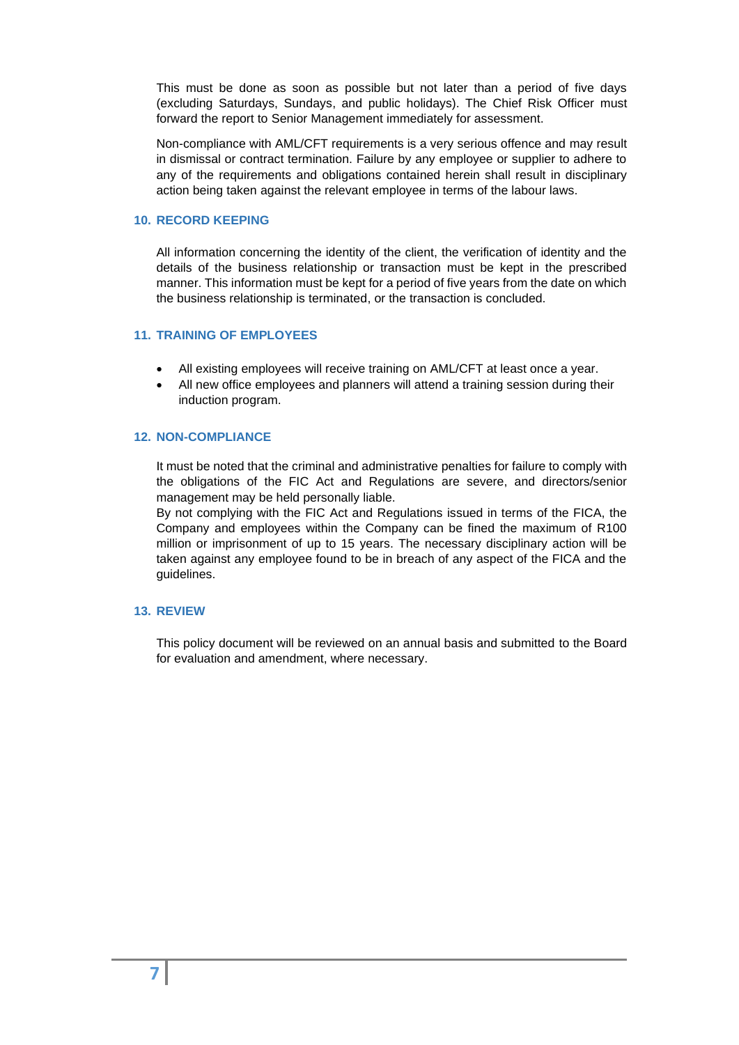This must be done as soon as possible but not later than a period of five days (excluding Saturdays, Sundays, and public holidays). The Chief Risk Officer must forward the report to Senior Management immediately for assessment.

Non-compliance with AML/CFT requirements is a very serious offence and may result in dismissal or contract termination. Failure by any employee or supplier to adhere to any of the requirements and obligations contained herein shall result in disciplinary action being taken against the relevant employee in terms of the labour laws.

#### <span id="page-6-0"></span>**10. RECORD KEEPING**

All information concerning the identity of the client, the verification of identity and the details of the business relationship or transaction must be kept in the prescribed manner. This information must be kept for a period of five years from the date on which the business relationship is terminated, or the transaction is concluded.

## <span id="page-6-1"></span>**11. TRAINING OF EMPLOYEES**

- All existing employees will receive training on AML/CFT at least once a year.
- All new office employees and planners will attend a training session during their induction program.

### <span id="page-6-2"></span>**12. NON-COMPLIANCE**

It must be noted that the criminal and administrative penalties for failure to comply with the obligations of the FIC Act and Regulations are severe, and directors/senior management may be held personally liable.

By not complying with the FIC Act and Regulations issued in terms of the FICA, the Company and employees within the Company can be fined the maximum of R100 million or imprisonment of up to 15 years. The necessary disciplinary action will be taken against any employee found to be in breach of any aspect of the FICA and the guidelines.

### <span id="page-6-3"></span>**13. REVIEW**

This policy document will be reviewed on an annual basis and submitted to the Board for evaluation and amendment, where necessary.